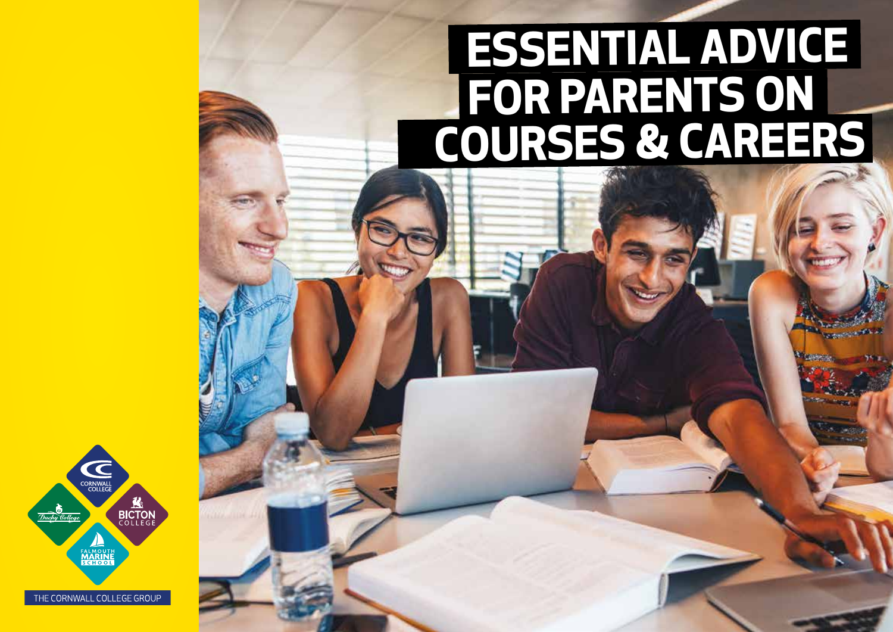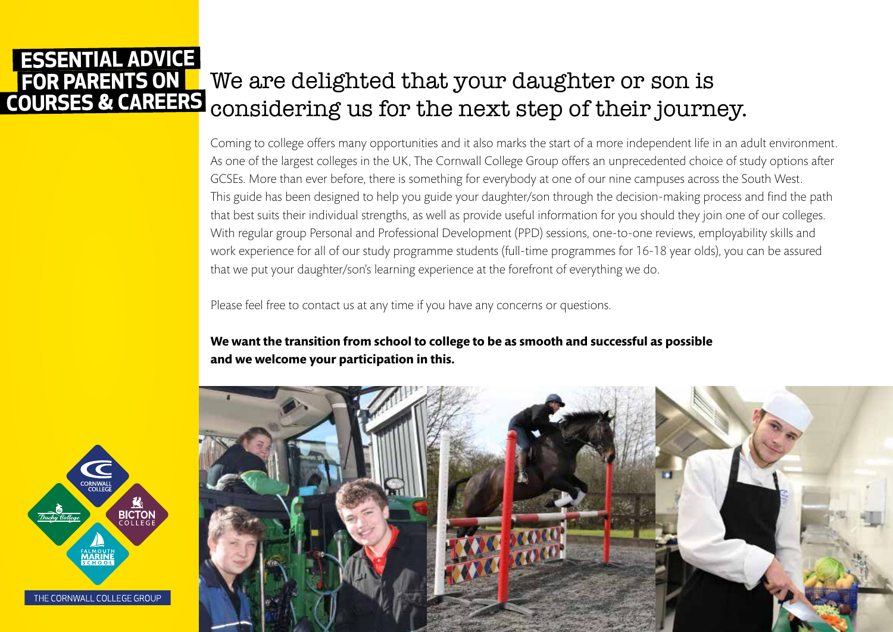#### We are delighted that your daughter or son is considering us for the next step of their journey.  **FOR PARENTS ON COURSES & CAREERS ESSENTIAL ADVICE**

Coming to college offers many opportunities and it also marks the start of a more independent life in an adult environment. As one of the largest colleges in the UK, The Cornwall College Group offers an unprecedented choice of study options after GCSEs. More than ever before, there is something for everybody at one of our nine campuses across the South West. This guide has been designed to help you guide your daughter/son through the decision-making process and find the path that best suits their individual strengths, as well as provide useful information for you should they join one of our colleges. With regular group Personal and Professional Development (PPD) sessions, one-to-one reviews, employability skills and work experience for all of our study programme students (full-time programmes for 16-18 year olds), you can be assured that we put your daughter/son's learning experience at the forefront of everything we do.

Please feel free to contact us at any time if you have any concerns or questions.

**We want the transition from school to college to be as smooth and successful as possible and we welcome your participation in this.**



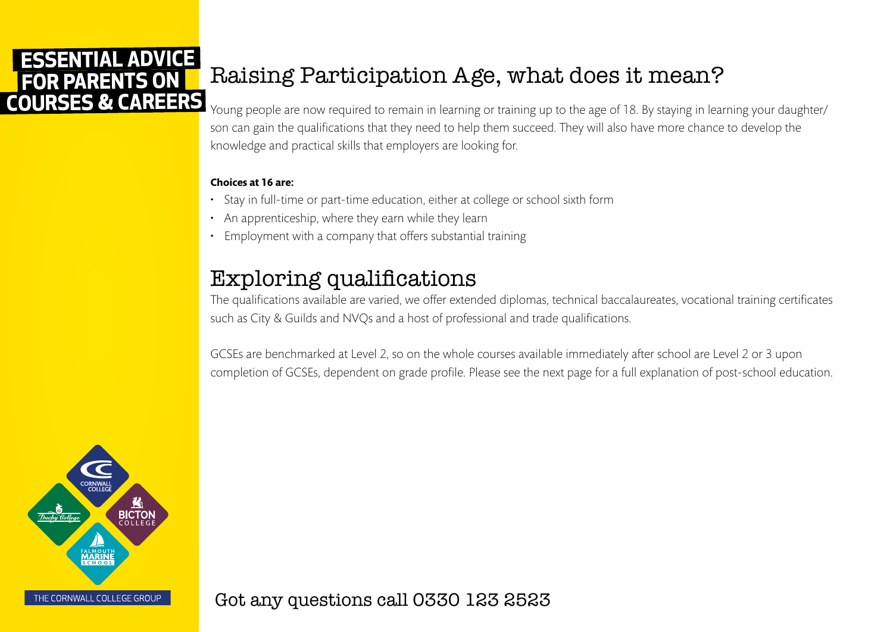# Raising Participation Age, what does it mean?

Young people are now required to remain in learning or training up to the age of 18. By staying in learning your daughter/ son can gain the qualifications that they need to help them succeed. They will also have more chance to develop the knowledge and practical skills that employers are looking for.

#### **Choices at 16 are:**

- Stay in full-time or part-time education, either at college or school sixth form
- An apprenticeship, where they earn while they learn
- Employment with a company that offers substantial training

# Exploring qualifications

The qualifications available are varied, we offer extended diplomas, technical baccalaureates, vocational training certificates such as City & Guilds and NVQs and a host of professional and trade qualifications.

GCSEs are benchmarked at Level 2, so on the whole courses available immediately after school are Level 2 or 3 upon completion of GCSEs, dependent on grade profile. Please see the next page for a full explanation of post-school education.



Got any questions call 0330 123 2523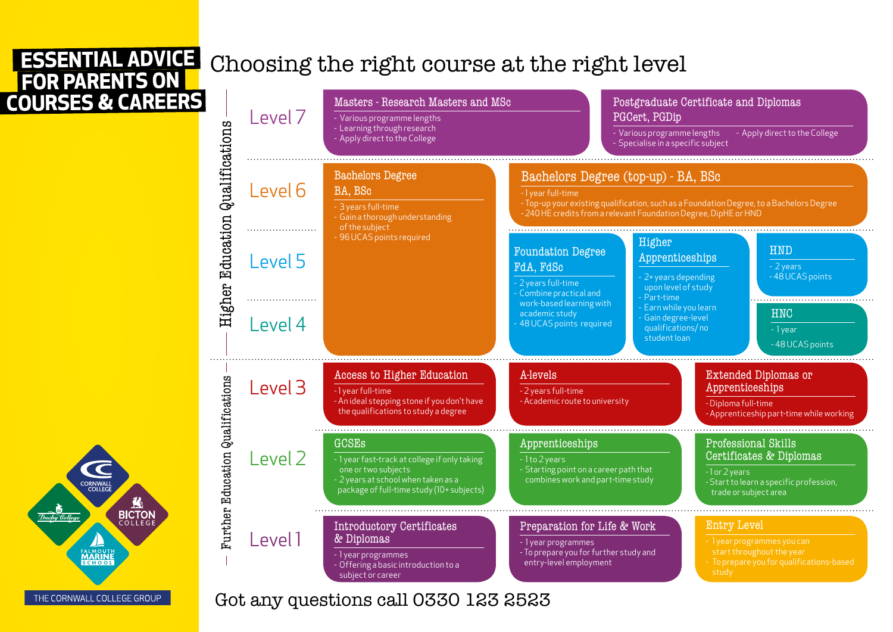BICTON

uchu Collea

**MARINI** 

THE CORNWALL COLLEGE GROUP

# Choosing the right course at the right level



Got any questions call 0330 123 2523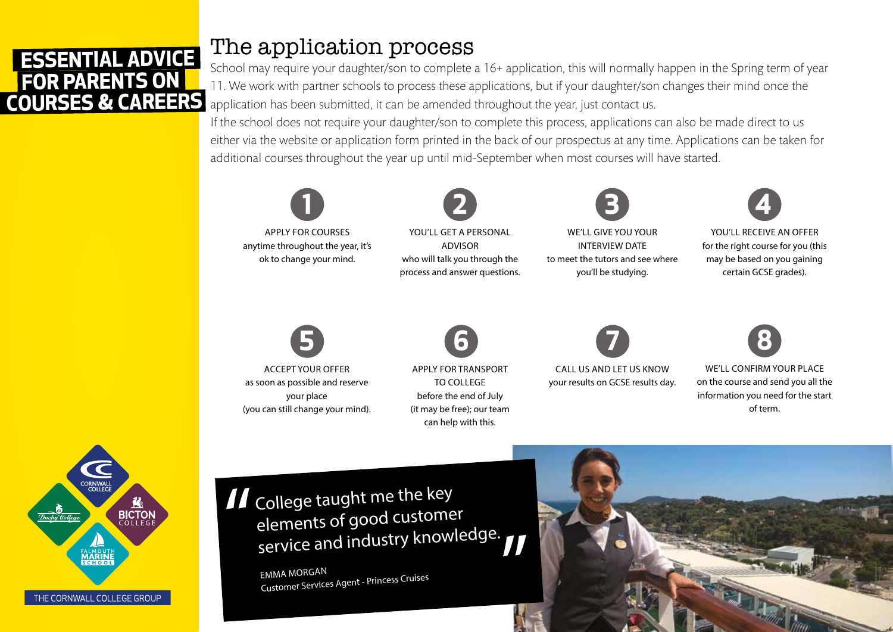## The application process

School may require your daughter/son to complete a 16+ application, this will normally happen in the Spring term of year 11. We work with partner schools to process these applications, but if your daughter/son changes their mind once the application has been submitted, it can be amended throughout the year, just contact us.

If the school does not require your daughter/son to complete this process, applications can also be made direct to us either via the website or application form printed in the back of our prospectus at any time. Applications can be taken for additional courses throughout the year up until mid-September when most courses will have started.



APPLY FOR COURSES anytime throughout the year, it's ok to change your mind.

YOU'LL GET A PERSONAL ADVISOR who will talk you through the process and answer questions. **2**



WE'LL GIVE YOU YOUR INTERVIEW DATE to meet the tutors and see where you'll be studying.



YOU'LL RECEIVE AN OFFER for the right course for you (this may be based on you gaining certain GCSE grades).



ACCEPT YOUR OFFER as soon as possible and reserve your place (you can still change your mind).



APPLY FOR TRANSPORT TO COLLEGE before the end of July (it may be free); our team can help with this.



CALL US AND LET US KNOW your results on GCSE results day.



WE'LL CONFIRM YOUR PLACE on the course and send you all the information you need for the start of term.



II College taught me the key elements of good customer service and industry knowledge. "

> EMMA MORGAN Customer Services Agent - Princess Cruises

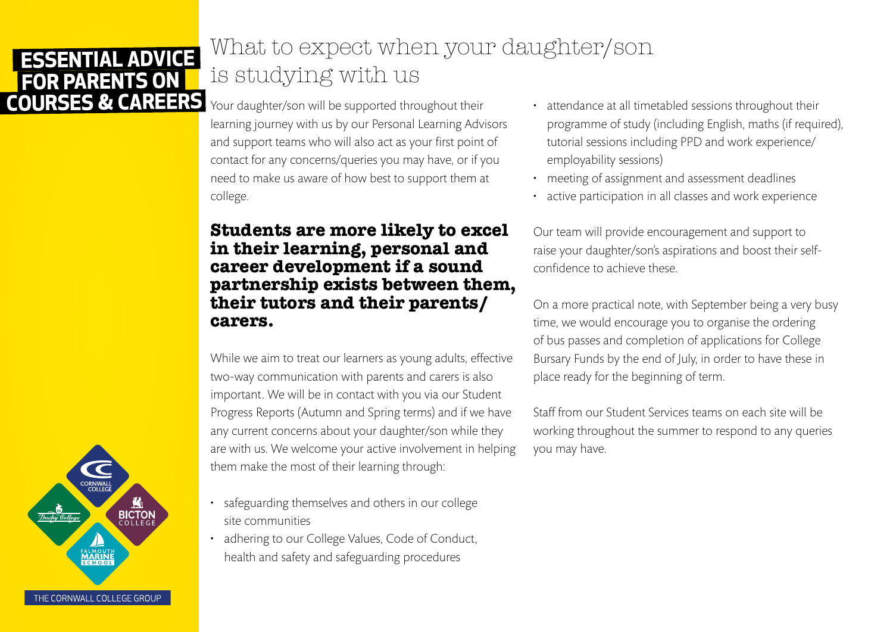# What to expect when your daughter/son is studying with us

Your daughter/son will be supported throughout their learning journey with us by our Personal Learning Advisors and support teams who will also act as your first point of contact for any concerns/queries you may have, or if you need to make us aware of how best to support them at college.

### **Students are more likely to excel in their learning, personal and career development if a sound partnership exists between them, their tutors and their parents/ carers.**

While we aim to treat our learners as young adults, effective two-way communication with parents and carers is also important. We will be in contact with you via our Student Progress Reports (Autumn and Spring terms) and if we have any current concerns about your daughter/son while they are with us. We welcome your active involvement in helping them make the most of their learning through:

- safeguarding themselves and others in our college site communities
- adhering to our College Values, Code of Conduct, health and safety and safeguarding procedures
- attendance at all timetabled sessions throughout their programme of study (including English, maths (if required), tutorial sessions including PPD and work experience/ employability sessions)
- meeting of assignment and assessment deadlines
- active participation in all classes and work experience

Our team will provide encouragement and support to raise your daughter/son's aspirations and boost their selfconfidence to achieve these.

On a more practical note, with September being a very busy time, we would encourage you to organise the ordering of bus passes and completion of applications for College Bursary Funds by the end of July, in order to have these in place ready for the beginning of term.

Staff from our Student Services teams on each site will be working throughout the summer to respond to any queries you may have.

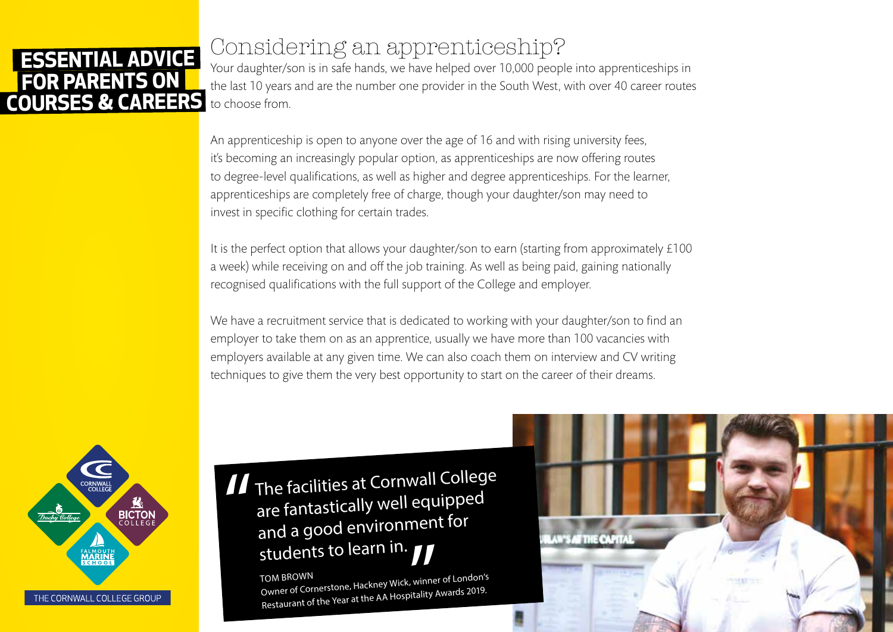# Considering an apprenticeship?

Your daughter/son is in safe hands, we have helped over 10,000 people into apprenticeships in the last 10 years and are the number one provider in the South West, with over 40 career routes to choose from.

An apprenticeship is open to anyone over the age of 16 and with rising university fees, it's becoming an increasingly popular option, as apprenticeships are now offering routes to degree-level qualifications, as well as higher and degree apprenticeships. For the learner, apprenticeships are completely free of charge, though your daughter/son may need to invest in specific clothing for certain trades.

It is the perfect option that allows your daughter/son to earn (starting from approximately £100 a week) while receiving on and off the job training. As well as being paid, gaining nationally recognised qualifications with the full support of the College and employer.

We have a recruitment service that is dedicated to working with your daughter/son to find an employer to take them on as an apprentice, usually we have more than 100 vacancies with employers available at any given time. We can also coach them on interview and CV writing techniques to give them the very best opportunity to start on the career of their dreams.



 $\prod$  The facilities at Cornwall College are fantastically well equippe<sup>d</sup> and a good environment for students to learn in. "

> Owner of Cornerstone, Hustines<br>Restaurant of the Year at the AA Hospitality Awards 2019. TOM BROWN Owner of Cornerstone, Hackney Wick, winner of London's

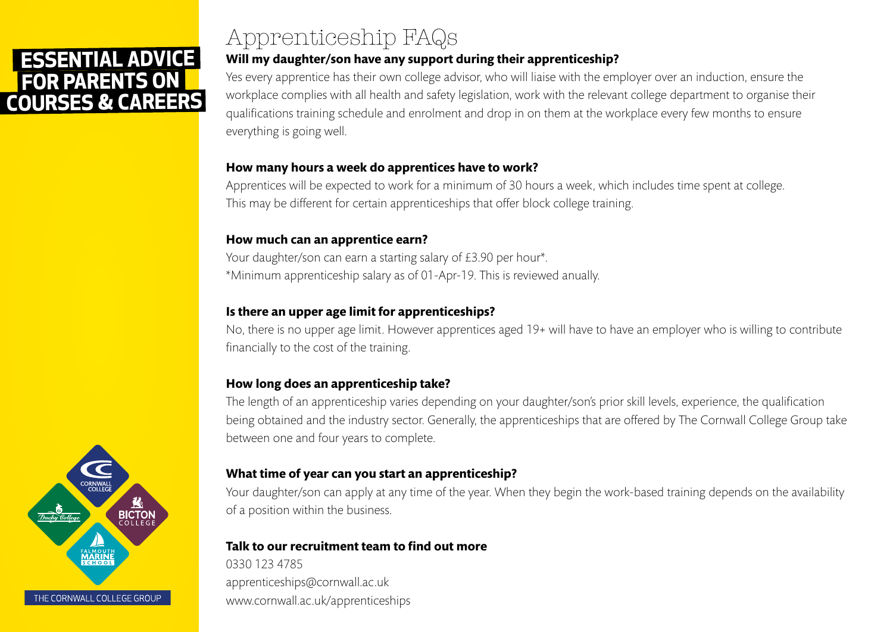# Apprenticeship FAQs

### **Will my daughter/son have any support during their apprenticeship?**

Yes every apprentice has their own college advisor, who will liaise with the employer over an induction, ensure the workplace complies with all health and safety legislation, work with the relevant college department to organise their qualifications training schedule and enrolment and drop in on them at the workplace every few months to ensure everything is going well.

#### **How many hours a week do apprentices have to work?**

Apprentices will be expected to work for a minimum of 30 hours a week, which includes time spent at college. This may be different for certain apprenticeships that offer block college training.

#### **How much can an apprentice earn?**

Your daughter/son can earn a starting salary of £3.90 per hour\*. \*Minimum apprenticeship salary as of 01-Apr-19. This is reviewed anually.

### **Is there an upper age limit for apprenticeships?**

No, there is no upper age limit. However apprentices aged 19+ will have to have an employer who is willing to contribute financially to the cost of the training.

### **How long does an apprenticeship take?**

The length of an apprenticeship varies depending on your daughter/son's prior skill levels, experience, the qualification being obtained and the industry sector. Generally, the apprenticeships that are offered by The Cornwall College Group take between one and four years to complete.

#### **What time of year can you start an apprenticeship?**

Your daughter/son can apply at any time of the year. When they begin the work-based training depends on the availability of a position within the business.

#### **Talk to our recruitment team to find out more**

0330 123 4785 apprenticeships@cornwall.ac.uk www.cornwall.ac.uk/apprenticeships